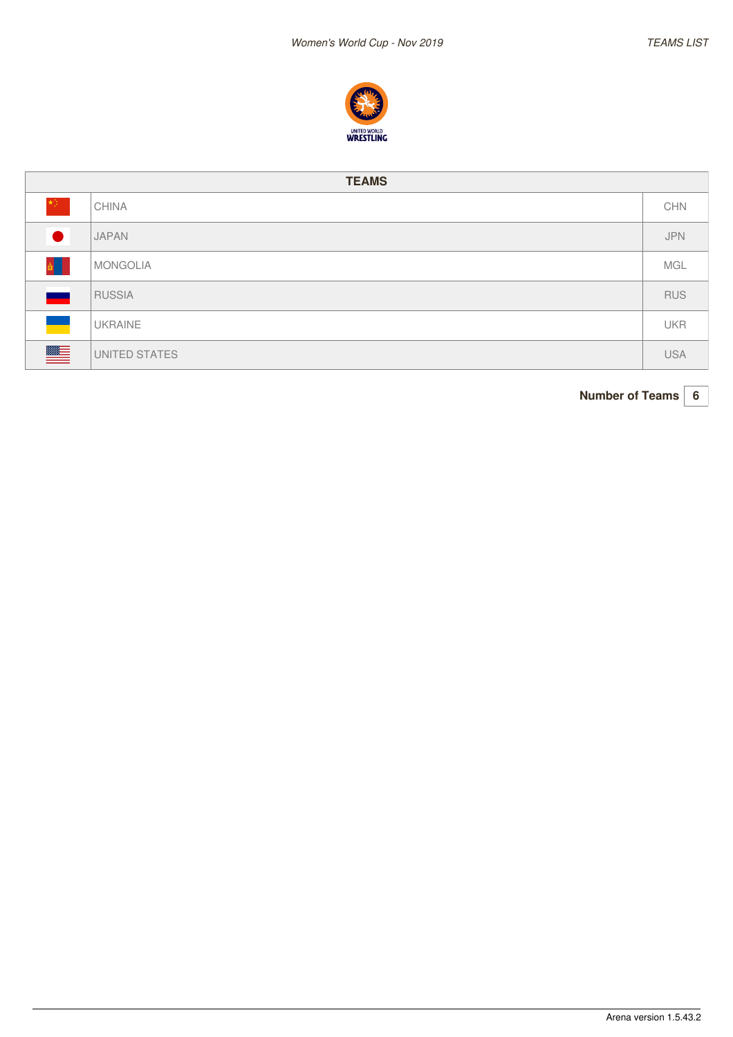

| <b>TEAMS</b> |                |            |  |  |  |  |  |  |
|--------------|----------------|------------|--|--|--|--|--|--|
| *)∶          | <b>CHINA</b>   | <b>CHN</b> |  |  |  |  |  |  |
|              | <b>JAPAN</b>   | <b>JPN</b> |  |  |  |  |  |  |
|              | MONGOLIA       | MGL        |  |  |  |  |  |  |
|              | RUSSIA         | <b>RUS</b> |  |  |  |  |  |  |
| $\bullet$    | <b>UKRAINE</b> | <b>UKR</b> |  |  |  |  |  |  |
| $\equiv$     | UNITED STATES  | <b>USA</b> |  |  |  |  |  |  |

**Number of Teams 6**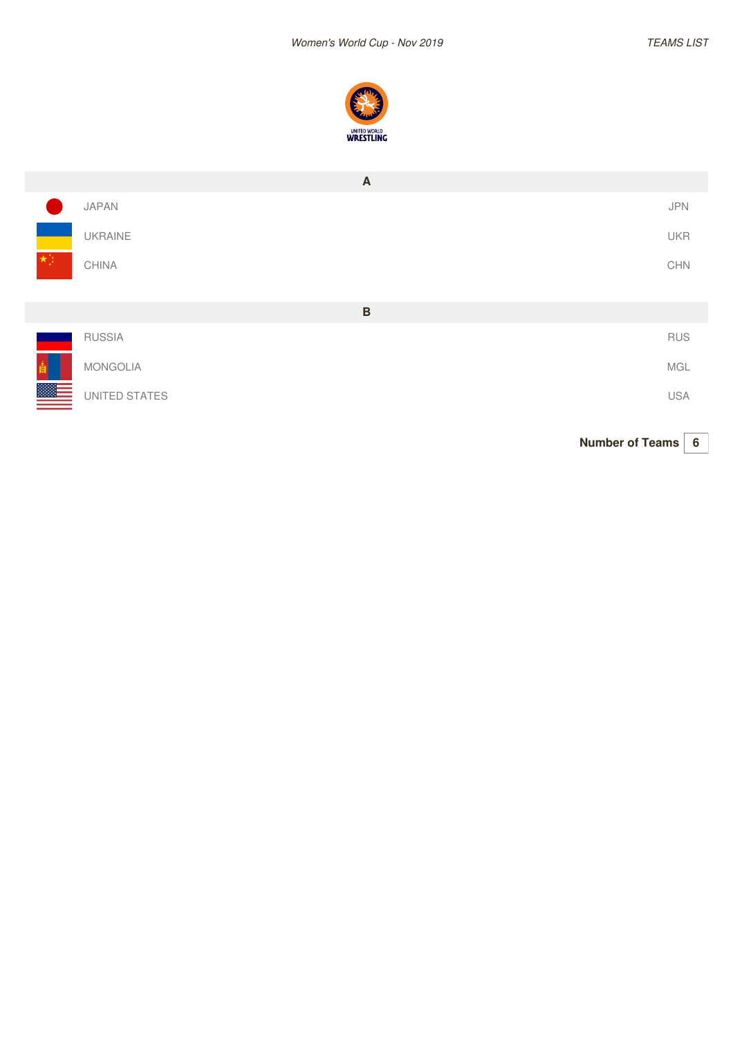

|               | $\overline{A}$  |                       |
|---------------|-----------------|-----------------------|
|               | JAPAN           | JPN                   |
|               | UKRAINE         | <b>UKR</b>            |
|               | CHINA           | $\mathsf{CHN}\xspace$ |
|               | $\, {\bf B}$    |                       |
|               | <b>RUSSIA</b>   | <b>RUS</b>            |
|               | <b>MONGOLIA</b> | MGL                   |
| <u>ssa – </u> | UNITED STATES   | <b>USA</b>            |

**Number of Teams 6**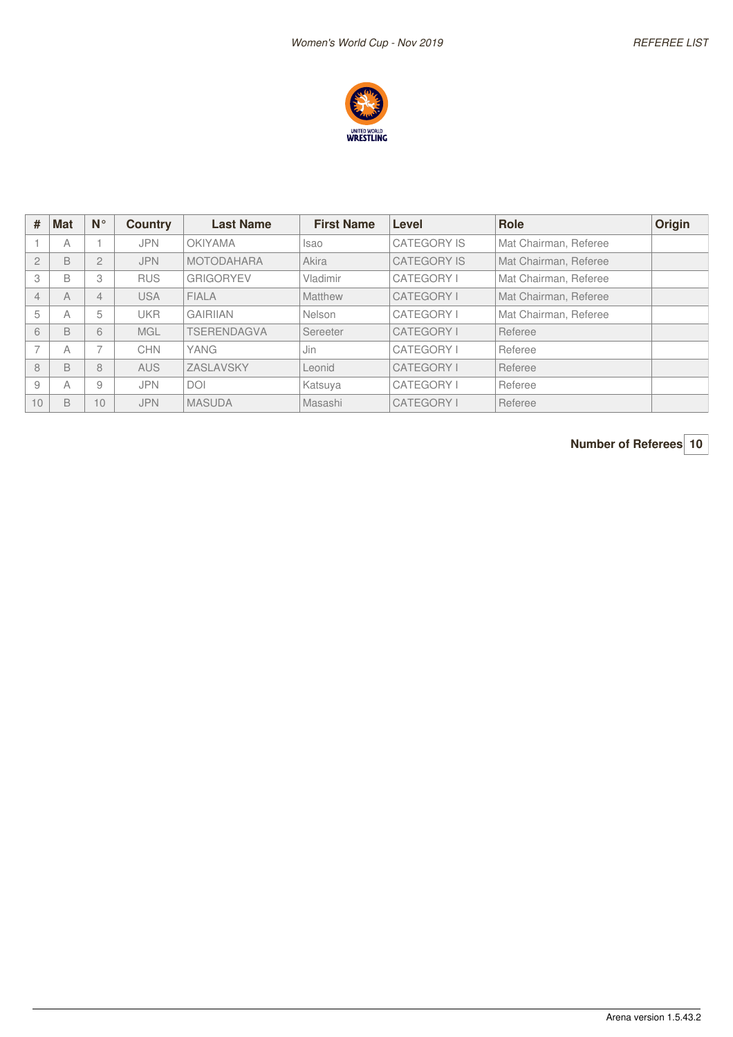

| #                        | <b>Mat</b>     | $N^{\circ}$              | <b>Country</b> | <b>Last Name</b>  | <b>First Name</b> | Level              | <b>Role</b>           | Origin |
|--------------------------|----------------|--------------------------|----------------|-------------------|-------------------|--------------------|-----------------------|--------|
|                          | A              |                          | <b>JPN</b>     | <b>OKIYAMA</b>    | <b>Isao</b>       | <b>CATEGORY IS</b> | Mat Chairman, Referee |        |
| $\mathbf{2}$             | B              | $\overline{2}$           | <b>JPN</b>     | <b>MOTODAHARA</b> | Akira             | <b>CATEGORY IS</b> | Mat Chairman, Referee |        |
| 3                        | B              | 3                        | <b>RUS</b>     | <b>GRIGORYEV</b>  | Vladimir          | <b>CATEGORY I</b>  | Mat Chairman, Referee |        |
| $\overline{4}$           | $\overline{A}$ | 4                        | <b>USA</b>     | <b>FIALA</b>      | Matthew           | <b>CATEGORY I</b>  | Mat Chairman, Referee |        |
| 5                        | А              | 5                        | <b>UKR</b>     | <b>GAIRIIAN</b>   | Nelson            | CATEGORY I         | Mat Chairman, Referee |        |
| 6                        | B              | 6                        | <b>MGL</b>     | TSERENDAGVA       | Sereeter          | <b>CATEGORY I</b>  | Referee               |        |
| $\overline{\phantom{0}}$ | A              | $\overline{\phantom{a}}$ | <b>CHN</b>     | YANG              | Jin               | <b>CATEGORY I</b>  | Referee               |        |
| 8                        | B              | 8                        | <b>AUS</b>     | ZASLAVSKY         | Leonid            | <b>CATEGORY I</b>  | Referee               |        |
| 9                        | А              | 9                        | <b>JPN</b>     | <b>DOI</b>        | Katsuya           | <b>CATEGORY I</b>  | Referee               |        |
| 10                       | B              | 10 <sup>1</sup>          | <b>JPN</b>     | <b>MASUDA</b>     | Masashi           | <b>CATEGORY I</b>  | Referee               |        |

**Number of Referees 10**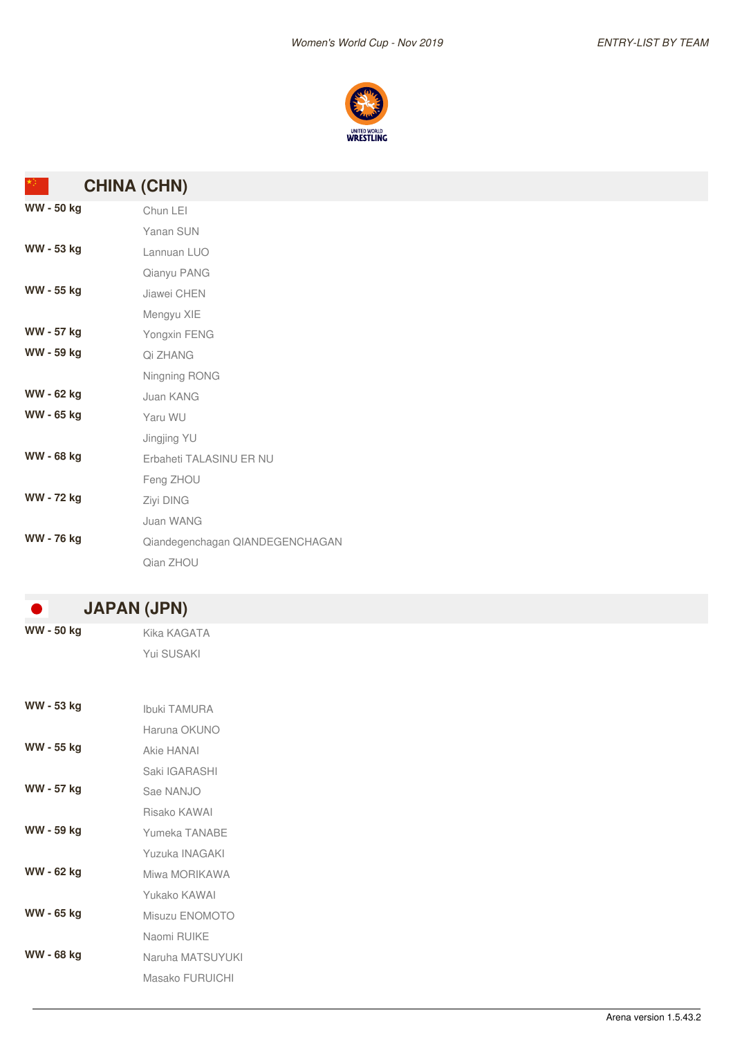

| *) -            | <b>CHINA (CHN)</b>              |
|-----------------|---------------------------------|
| WW - 50 kg      | Chun LEI                        |
|                 | Yanan SUN                       |
| WW - 53 kg      | Lannuan LUO                     |
|                 | Qianyu PANG                     |
| WW - 55 kg      | Jiawei CHEN                     |
|                 | Mengyu XIE                      |
| WW - 57 kg      | Yongxin FENG                    |
| WW - 59 kg      | Qi ZHANG                        |
|                 | Ningning RONG                   |
| WW - 62 kg      | Juan KANG                       |
| WW - 65 kg      | Yaru WU                         |
|                 | Jingjing YU                     |
| WW - 68 kg      | Erbaheti TALASINU ER NU         |
|                 | Feng ZHOU                       |
| WW - 72 kg      | Ziyi DING                       |
|                 | Juan WANG                       |
| <b>WW-76 kg</b> | Qiandegenchagan QIANDEGENCHAGAN |
|                 | Qian ZHOU                       |
|                 |                                 |
| $\blacksquare$  | <b>JAPAN (JPN)</b>              |
| WW - 50 kg      | Kika KAGATA                     |
|                 | Yui SUSAKI                      |
|                 |                                 |
|                 |                                 |
| WW - 53 kg      | Ibuki TAMURA                    |
|                 | Haruna OKUNO                    |
| WW - 55 kg      | Akie HANAI                      |
|                 | Saki IGARASHI                   |
| WW - 57 kg      | Sae NANJO                       |
|                 | Risako KAWAI                    |
| WW - 59 kg      | Yumeka TANABE                   |
|                 | Yuzuka INAGAKI                  |
| WW - 62 kg      | Miwa MORIKAWA                   |
|                 | Yukako KAWAI                    |
| WW - 65 kg      | Misuzu ENOMOTO                  |
|                 | Naomi RUIKE                     |
| WW - 68 kg      | Naruha MATSUYUKI                |
|                 | Masako FURUICHI                 |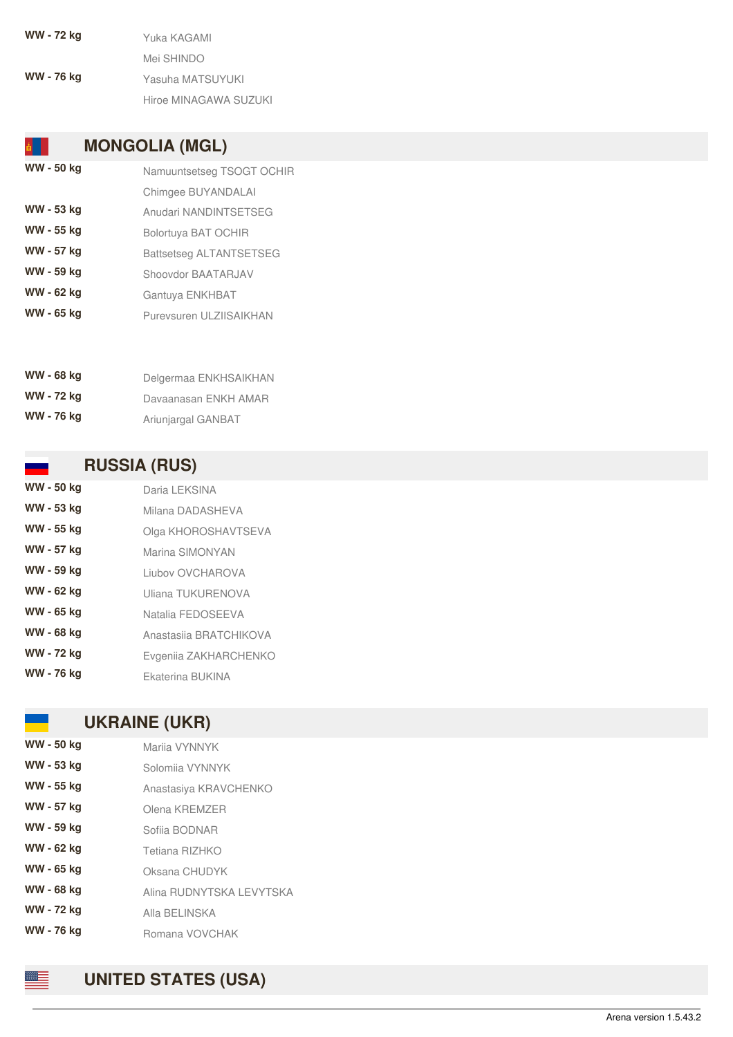**W W -7 2 k g** Yuka KAGAMI Mei SHINDO **W W -7 6 k g** Yasuha MATSUYUKI Hiroe MINAGAWA SUZUKI

## **MONGOLIA (MGL)**

**W W -5 0 k g** Namuuntsetseg TSOGT OCHIR Chimgee BUYANDALAI **WW - 53 kg** Anudari NANDINTSETSEG **W W -5 5 k g** B olo rt u y a B A T O C HIR **W W -5 7 k g** Battsetseg ALTANTSETSEG **W W -5 9 k g** Shoovdor BAATARJAV **W W -6 2 k g** Gantuya ENKHBAT **W W -6 5 k g** Purevsuren ULZIISAIKHAN

| WW - 68 kg | Delgermaa ENKHSAIKHAN |
|------------|-----------------------|
| WW - 72 kg | Davaanasan ENKH AMAR  |
| WW - 76 kg | Ariunjargal GANBAT    |

### **RUSSIA (RUS)**

| WW - 50 kg | Daria LEKSINA          |
|------------|------------------------|
| WW - 53 kg | Milana DADASHEVA       |
| WW - 55 kg | Olga KHOROSHAVTSEVA    |
| WW - 57 kg | Marina SIMONYAN        |
| WW - 59 kg | Liubov OVCHAROVA       |
| WW - 62 kg | Uliana TUKURENOVA      |
| WW - 65 kg | Natalia FEDOSEEVA      |
| WW - 68 kg | Anastasija BRATCHIKOVA |
| WW - 72 kg | Evgenija ZAKHARCHENKO  |
| WW - 76 kg | Ekaterina BUKINA       |

### UKRAINE (UKR)

| WW - 50 kg        | Marija VYNNYK            |
|-------------------|--------------------------|
| WW - 53 kg        | Solomija VYNNYK          |
| WW - 55 kg        | Anastasiya KRAVCHENKO    |
| WW - 57 kg        | Olena KREMZER            |
| WW - 59 kg        | Sofiia BODNAR            |
| WW - 62 kg        | Tetiana RIZHKO           |
| WW - 65 kg        | Oksana CHUDYK            |
| WW - 68 kg        | Alina RUDNYTSKA LEVYTSKA |
| WW - 72 kg        | Alla BELINSKA            |
| <b>WW - 76 kg</b> | Romana VOVCHAK           |



≋≡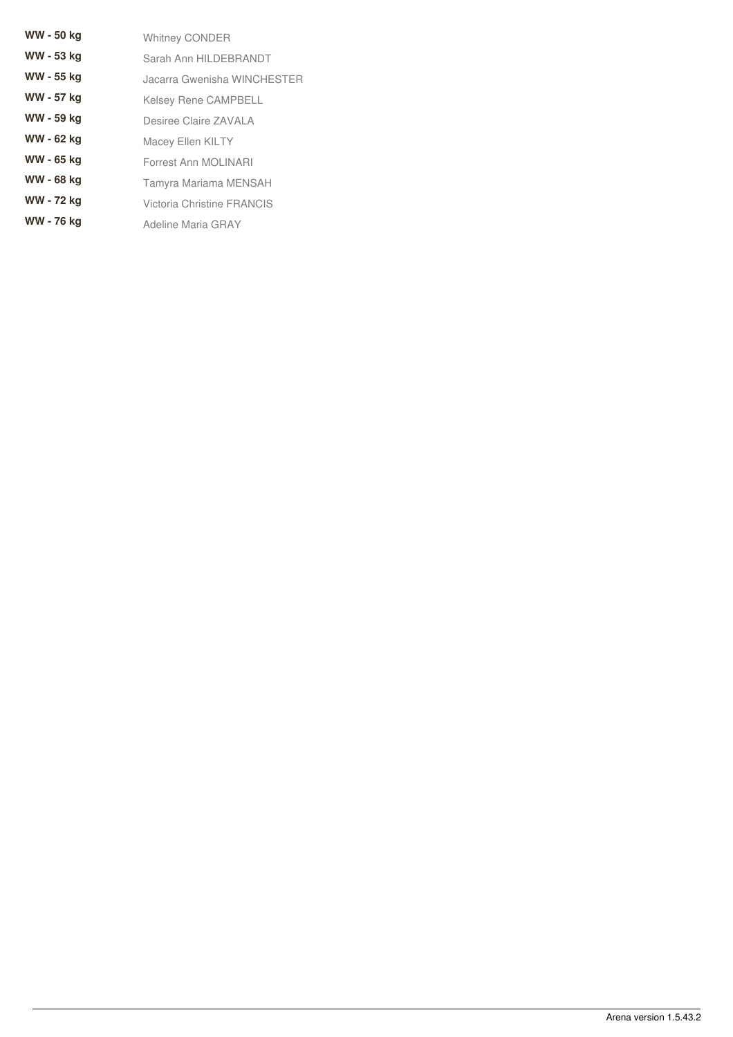| <b>WW - 50 kg</b> | <b>Whitney CONDER</b>       |
|-------------------|-----------------------------|
| WW - 53 kg        | Sarah Ann HILDEBRANDT       |
| WW - 55 kg        | Jacarra Gwenisha WINCHESTER |
| WW - 57 kg        | <b>Kelsey Rene CAMPBELL</b> |
| WW - 59 kg        | Desiree Claire ZAVALA       |
| WW - 62 kg        | <b>Macey Ellen KILTY</b>    |
| WW - 65 kg        | Forrest Ann MOLINARI        |
| WW - 68 kg        | Tamyra Mariama MENSAH       |
| WW - 72 kg        | Victoria Christine FRANCIS  |
| WW - 76 kg        | Adeline Maria GRAY          |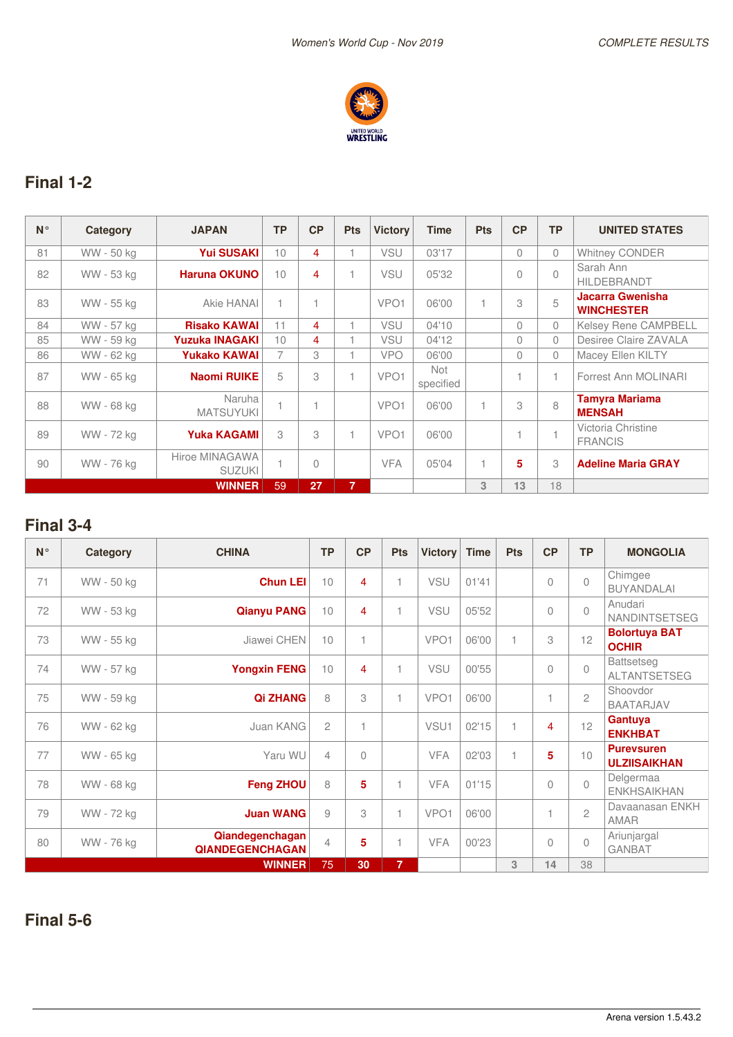

# **Final 1-2**

| $N^{\circ}$ | Category   | <b>JAPAN</b>                    | <b>TP</b> | CP        | <b>Pts</b>     | <b>Victory</b>   | <b>Time</b>             | <b>Pts</b>   | CP       | <b>TP</b>    | <b>UNITED STATES</b>                   |
|-------------|------------|---------------------------------|-----------|-----------|----------------|------------------|-------------------------|--------------|----------|--------------|----------------------------------------|
| 81          | WW - 50 kg | <b>Yui SUSAKI</b>               | 10        | 4         |                | <b>VSU</b>       | 03'17                   |              | $\Omega$ | $\mathbf{0}$ | <b>Whitney CONDER</b>                  |
| 82          | WW - 53 kg | <b>Haruna OKUNO</b>             | 10        | 4         |                | <b>VSU</b>       | 05'32                   |              | 0        | $\bigcap$    | Sarah Ann<br><b>HILDEBRANDT</b>        |
| 83          | WW - 55 kg | Akie HANAI                      |           |           |                | VPO <sub>1</sub> | 06'00                   | 1            | 3        | 5            | Jacarra Gwenisha<br><b>WINCHESTER</b>  |
| 84          | WW - 57 kg | <b>Risako KAWAI</b>             | 11        | 4         |                | VSU              | 04'10                   |              | $\Omega$ | $\Omega$     | <b>Kelsey Rene CAMPBELL</b>            |
| 85          | WW - 59 kg | <b>Yuzuka INAGAKI</b>           | 10        | 4         |                | <b>VSU</b>       | 04'12                   |              | 0        | $\Omega$     | Desiree Claire ZAVALA                  |
| 86          | WW - 62 kg | <b>Yukako KAWAI</b>             | 7         | 3         |                | <b>VPO</b>       | 06'00                   |              | 0        | $\Omega$     | Macey Ellen KILTY                      |
| 87          | WW - 65 kg | <b>Naomi RUIKE</b>              | 5         | 3         |                | VPO <sub>1</sub> | <b>Not</b><br>specified |              |          | 1.           | Forrest Ann MOLINARI                   |
| 88          | WW - 68 kg | Naruha<br><b>MATSUYUKI</b>      |           |           |                | VPO <sub>1</sub> | 06'00                   | $\mathbf{1}$ | 3        | 8            | <b>Tamyra Mariama</b><br><b>MENSAH</b> |
| 89          | WW - 72 kg | <b>Yuka KAGAMI</b>              | 3         | 3         |                | VPO <sub>1</sub> | 06'00                   |              |          | 1.           | Victoria Christine<br><b>FRANCIS</b>   |
| 90          | WW - 76 kg | Hiroe MINAGAWA<br><b>SUZUKI</b> |           | $\bigcap$ |                | <b>VFA</b>       | 05'04                   | 1            | 5        | 3            | <b>Adeline Maria GRAY</b>              |
|             |            | <b>WINNER</b>                   | 59        | 27        | $\overline{7}$ |                  |                         | 3            | 13       | 18           |                                        |

## **Final 3-4**

| $N^{\circ}$ | Category   | <b>CHINA</b>                              | <b>TP</b>      | CP                       | <b>Pts</b>     | <b>Victory</b>   | <b>Time</b> | <b>Pts</b>     | CP        | <b>TP</b>      | <b>MONGOLIA</b>                          |
|-------------|------------|-------------------------------------------|----------------|--------------------------|----------------|------------------|-------------|----------------|-----------|----------------|------------------------------------------|
| 71          | WW - 50 kg | <b>Chun LEI</b>                           | 10             | 4                        |                | <b>VSU</b>       | 01'41       |                | $\bigcap$ | $\bigcap$      | Chimgee<br><b>BUYANDALAI</b>             |
| 72          | WW - 53 kg | <b>Qianyu PANG</b>                        | 10             | 4                        |                | <b>VSU</b>       | 05'52       |                | $\Omega$  | $\bigcap$      | Anudari<br><b>NANDINTSETSEG</b>          |
| 73          | WW - 55 kg | Jiawei CHEN                               | 10             | 1                        |                | VPO <sub>1</sub> | 06'00       |                | 3         | 12             | <b>Bolortuya BAT</b><br><b>OCHIR</b>     |
| 74          | WW - 57 kg | <b>Yongxin FENG</b>                       | 10             | 4                        |                | VSU              | 00'55       |                | $\theta$  | $\bigcap$      | <b>Battsetseg</b><br><b>ALTANTSETSEG</b> |
| 75          | WW - 59 kg | <b>Qi ZHANG</b>                           | 8              | 3                        |                | VPO <sub>1</sub> | 06'00       |                |           | $\mathfrak{D}$ | Shoovdor<br><b>BAATARJAV</b>             |
| 76          | WW - 62 kg | Juan KANG                                 | $\mathfrak{D}$ | $\overline{\phantom{0}}$ |                | VSU <sub>1</sub> | 02'15       | $\overline{1}$ | 4         | 12             | Gantuya<br><b>ENKHBAT</b>                |
| 77          | WW - 65 kg | Yaru WU                                   | $\overline{4}$ | 0                        |                | <b>VFA</b>       | 02'03       |                | 5         | 10             | <b>Purevsuren</b><br><b>ULZIISAIKHAN</b> |
| 78          | WW - 68 kg | <b>Feng ZHOU</b>                          | 8              | 5                        |                | <b>VFA</b>       | 01'15       |                | $\Omega$  | $\Omega$       | Delgermaa<br><b>ENKHSAIKHAN</b>          |
| 79          | WW - 72 kg | <b>Juan WANG</b>                          | 9              | 3                        |                | VPO <sub>1</sub> | 06'00       |                |           | $\mathcal{P}$  | Davaanasan ENKH<br>AMAR                  |
| 80          | WW - 76 kg | Qiandegenchagan<br><b>QIANDEGENCHAGAN</b> | $\overline{4}$ | 5                        |                | <b>VFA</b>       | 00'23       |                | $\bigcap$ | $\bigcap$      | Ariunjargal<br><b>GANBAT</b>             |
|             |            | <b>WINNER</b>                             | 75             | 30                       | $\overline{7}$ |                  |             | 3              | 14        | 38             |                                          |

**Final 5-6**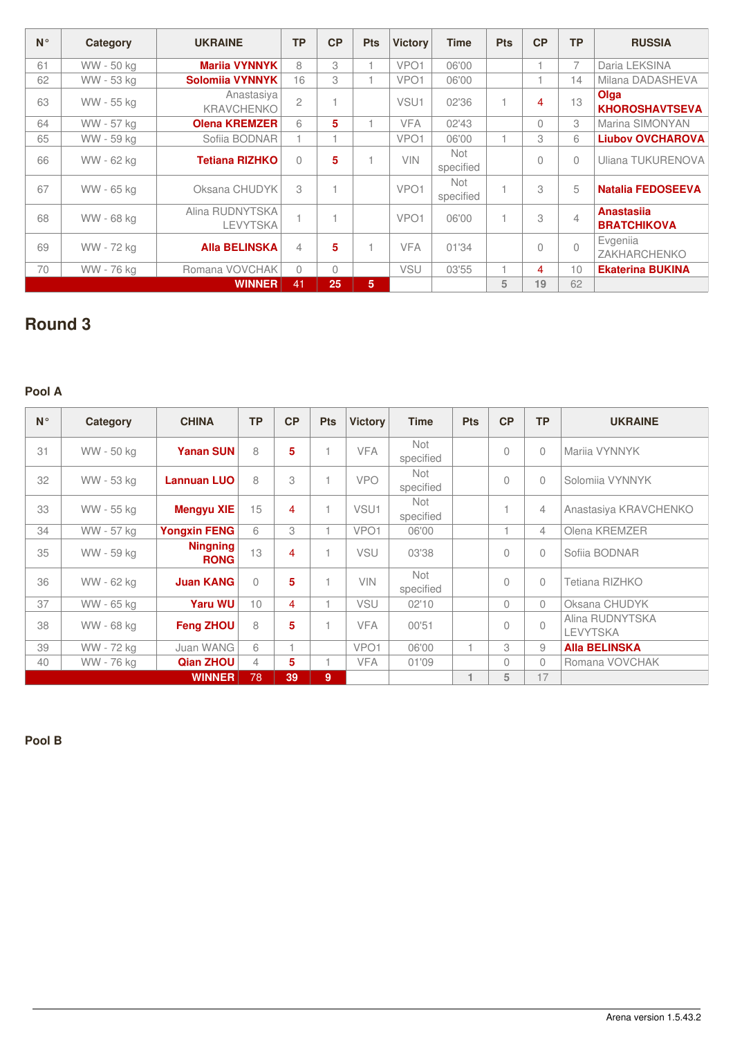| $N^{\circ}$ | Category   | <b>UKRAINE</b>                     | <b>TP</b>      | CP       | <b>Pts</b>     | <b>Victory</b>   | <b>Time</b>      | <b>Pts</b> | CP             | <b>TP</b>      | <b>RUSSIA</b>                           |
|-------------|------------|------------------------------------|----------------|----------|----------------|------------------|------------------|------------|----------------|----------------|-----------------------------------------|
| 61          | WW - 50 kg | <b>Marija VYNNYK</b>               | 8              | 3        |                | VPO <sub>1</sub> | 06'00            |            |                | $\overline{7}$ | Daria LEKSINA                           |
| 62          | WW - 53 kg | <b>Solomiia VYNNYK</b>             | 16             | 3        |                | VPO <sub>1</sub> | 06'00            |            |                | 14             | Milana DADASHEVA                        |
| 63          | WW - 55 kg | Anastasiya<br><b>KRAVCHENKO</b>    | $\overline{c}$ |          |                | VSU <sub>1</sub> | 02'36            | 1          | 4              | 13             | Olga<br><b>KHOROSHAVTSEVA</b>           |
| 64          | WW - 57 kg | <b>Olena KREMZER</b>               | 6              | 5        |                | <b>VFA</b>       | 02'43            |            | $\Omega$       | 3              | Marina SIMONYAN                         |
| 65          | WW - 59 ka | Sofiia BODNAR                      |                |          |                | VPO <sub>1</sub> | 06'00            |            | 3              | 6              | <b>Liubov OVCHAROVA</b>                 |
| 66          | WW - 62 kg | <b>Tetiana RIZHKO</b>              | $\bigcap$      | 5        |                | <b>VIN</b>       | Not<br>specified |            | 0              | 0              | Uliana TUKURENOVA                       |
| 67          | WW - 65 kg | Oksana CHUDYK                      | 3              |          |                | VPO <sub>1</sub> | Not<br>specified | 1          | 3              | 5              | <b>Natalia FEDOSEEVA</b>                |
| 68          | WW - 68 ka | Alina RUDNYTSKA<br><b>LEVYTSKA</b> |                |          |                | VPO <sub>1</sub> | 06'00            | 1          | 3              | $\overline{4}$ | <b>Anastasija</b><br><b>BRATCHIKOVA</b> |
| 69          | WW - 72 kg | <b>Alla BELINSKA</b>               | 4              | 5        |                | <b>VFA</b>       | 01'34            |            | $\overline{0}$ | $\Omega$       | Evgenija<br><b>ZAKHARCHENKO</b>         |
| 70          | WW - 76 kg | Romana VOVCHAK                     | $\bigcap$      | $\Omega$ |                | <b>VSU</b>       | 03'55            |            | 4              | 10             | <b>Ekaterina BUKINA</b>                 |
|             |            | <b>WINNER</b>                      | 41             | 25       | 5 <sup>1</sup> |                  |                  | 5          | 19             | 62             |                                         |

# **Round 3**

### **Pool A**

| $N^{\circ}$ | Category   | <b>CHINA</b>                   | <b>TP</b>      | CP | <b>Pts</b> | <b>Victory</b>   | <b>Time</b>      | <b>Pts</b> |           | <b>TP</b>      | <b>UKRAINE</b>                     |
|-------------|------------|--------------------------------|----------------|----|------------|------------------|------------------|------------|-----------|----------------|------------------------------------|
| 31          | WW - 50 kg | <b>Yanan SUN</b>               | 8              | 5  |            | <b>VFA</b>       | Not<br>specified |            | $\bigcap$ | $\Omega$       | Marija VYNNYK                      |
| 32          | WW - 53 kg | <b>Lannuan LUO</b>             | 8              | 3  |            | <b>VPO</b>       | Not<br>specified |            | $\Omega$  | $\Omega$       | Solomija VYNNYK                    |
| 33          | WW - 55 kg | <b>Mengyu XIE</b>              | 15             | 4  |            | VSU <sub>1</sub> | Not<br>specified |            |           | $\overline{4}$ | Anastasiya KRAVCHENKO              |
| 34          | WW - 57 kg | <b>Yongxin FENG</b>            | 6              | 3  |            | VPO <sub>1</sub> | 06'00            |            |           | 4              | Olena KREMZER                      |
| 35          | WW - 59 kg | <b>Ningning</b><br><b>RONG</b> | 13             | 4  |            | <b>VSU</b>       | 03'38            |            | $\Omega$  | $\Omega$       | Sofiia BODNAR                      |
| 36          | WW - 62 kg | <b>Juan KANG</b>               | $\bigcap$      | 5  |            | <b>VIN</b>       | Not<br>specified |            | $\bigcap$ | $\Omega$       | Tetiana RIZHKO                     |
| 37          | WW - 65 kg | <b>Yaru WU</b>                 | 10             | 4  |            | <b>VSU</b>       | 02'10            |            | $\Omega$  | $\Omega$       | Oksana CHUDYK                      |
| 38          | WW - 68 kg | <b>Feng ZHOU</b>               | 8              | 5  |            | <b>VFA</b>       | 00'51            |            | $\bigcap$ | $\bigcap$      | Alina RUDNYTSKA<br><b>LEVYTSKA</b> |
| 39          | WW - 72 kg | Juan WANG                      | 6              |    |            | VPO <sub>1</sub> | 06'00            | 1          | 3         | 9              | <b>Alla BELINSKA</b>               |
| 40          | WW - 76 kg | <b>Qian ZHOU</b>               | $\overline{4}$ | 5  |            | <b>VFA</b>       | 01'09            |            | $\bigcap$ | $\Omega$       | Romana VOVCHAK                     |
|             |            | <b>WINNER</b>                  | 78             | 39 | 9          |                  |                  |            | 5         | 17             |                                    |

**Pool B**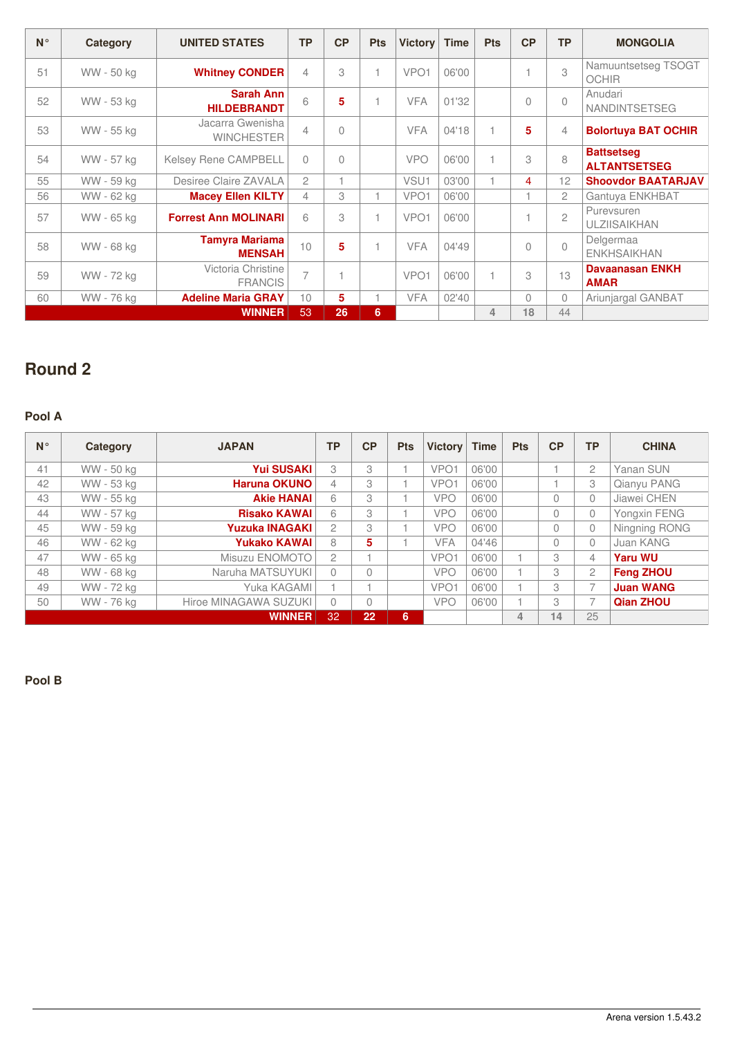| $N^{\circ}$ | Category   | <b>UNITED STATES</b>                   | <b>TP</b>      | CP             | <b>Pts</b> | <b>Victory</b>   | Time  | <b>Pts</b>     | CP        | <b>TP</b>      | <b>MONGOLIA</b>                          |
|-------------|------------|----------------------------------------|----------------|----------------|------------|------------------|-------|----------------|-----------|----------------|------------------------------------------|
| 51          | WW - 50 kg | <b>Whitney CONDER</b>                  | 4              | 3              |            | VPO <sub>1</sub> | 06'00 |                |           | 3              | Namuuntsetseg TSOGT<br><b>OCHIR</b>      |
| 52          | WW - 53 kg | <b>Sarah Ann</b><br><b>HILDEBRANDT</b> | 6              | 5              |            | <b>VFA</b>       | 01'32 |                | $\bigcap$ | $\bigcap$      | Anudari<br><b>NANDINTSETSEG</b>          |
| 53          | WW - 55 kg | Jacarra Gwenisha<br><b>WINCHESTER</b>  | $\overline{4}$ | $\theta$       |            | <b>VFA</b>       | 04'18 |                | 5         | 4              | <b>Bolortuya BAT OCHIR</b>               |
| 54          | WW - 57 kg | <b>Kelsey Rene CAMPBELL</b>            | $\Omega$       | $\Omega$       |            | <b>VPO</b>       | 06'00 |                | 3         | 8              | <b>Battsetseg</b><br><b>ALTANTSETSEG</b> |
| 55          | WW - 59 ka | Desiree Claire ZAVALA                  | $\mathfrak{D}$ | $\overline{A}$ |            | VSU <sub>1</sub> | 03'00 |                | 4         | 12             | <b>Shoovdor BAATARJAV</b>                |
| 56          | WW - 62 kg | <b>Macey Ellen KILTY</b>               | $\overline{4}$ | 3              |            | VPO <sub>1</sub> | 06'00 |                |           | $\overline{c}$ | Gantuya ENKHBAT                          |
| 57          | WW - 65 kg | <b>Forrest Ann MOLINARI</b>            | 6              | 3              |            | VPO <sub>1</sub> | 06'00 |                |           | $\overline{c}$ | Purevsuren<br><b>ULZIISAIKHAN</b>        |
| 58          | WW - 68 kg | <b>Tamyra Mariama</b><br><b>MENSAH</b> | 10             | 5              |            | <b>VFA</b>       | 04'49 |                | $\bigcap$ | $\bigcap$      | Delgermaa<br><b>ENKHSAIKHAN</b>          |
| 59          | WW - 72 kg | Victoria Christine<br><b>FRANCIS</b>   | 7              | $\overline{A}$ |            | VPO <sub>1</sub> | 06'00 |                | 3         | 13             | Davaanasan ENKH<br><b>AMAR</b>           |
| 60          | WW - 76 kg | <b>Adeline Maria GRAY</b>              | 10             | 5              |            | <b>VFA</b>       | 02'40 |                | $\Omega$  | $\bigcap$      | Ariunjargal GANBAT                       |
|             |            | <b>WINNER</b>                          | 53             | 26             | 6          |                  |       | $\overline{4}$ | 18        | 44             |                                          |

# **Round 2**

### **Pool A**

| $N^{\circ}$ | Category   | <b>JAPAN</b>          | <b>TP</b>      | CP        | <b>Pts</b> | <b>Victory</b>   | <b>Time</b> | <b>Pts</b> | CP       | ТP             | <b>CHINA</b>     |
|-------------|------------|-----------------------|----------------|-----------|------------|------------------|-------------|------------|----------|----------------|------------------|
| 41          | WW - 50 kg | <b>Yui SUSAKI</b>     | 3              | 3         |            | VPO <sub>1</sub> | 06'00       |            |          | $\mathfrak{D}$ | Yanan SUN        |
| 42          | WW - 53 kg | <b>Haruna OKUNO</b>   | 4              | 3         |            | VPO <sub>1</sub> | 06'00       |            |          | 3              | Qianyu PANG      |
| 43          | WW - 55 kg | <b>Akie HANAI</b>     | 6              | 3         |            | <b>VPO</b>       | 06'00       |            | $\Omega$ | $\Omega$       | Jiawei CHEN      |
| 44          | WW - 57 kg | <b>Risako KAWAI</b>   | 6              | 3         |            | <b>VPO</b>       | 06'00       |            | $\Omega$ | $\mathbf{0}$   | Yongxin FENG     |
| 45          | WW - 59 kg | <b>Yuzuka INAGAKI</b> | $\mathfrak{D}$ | 3         |            | <b>VPO</b>       | 06'00       |            | $\Omega$ | $\mathbf 0$    | Ningning RONG    |
| 46          | WW - 62 kg | <b>Yukako KAWAI</b>   | 8              | 5         |            | <b>VFA</b>       | 04'46       |            | $\Omega$ | $\Omega$       | Juan KANG        |
| 47          | WW - 65 kg | Misuzu ENOMOTO        | $\overline{c}$ |           |            | VPO <sub>1</sub> | 06'00       |            | 3        | 4              | <b>Yaru WU</b>   |
| 48          | WW - 68 kg | Naruha MATSUYUKI      | $\Omega$       | $\bigcap$ |            | <b>VPO</b>       | 06'00       |            | 3        | $\mathbf{2}$   | <b>Feng ZHOU</b> |
| 49          | WW - 72 kg | Yuka KAGAMI           |                |           |            | VPO <sub>1</sub> | 06'00       |            | 3        | $\overline{7}$ | <b>Juan WANG</b> |
| 50          | WW - 76 kg | Hiroe MINAGAWA SUZUKI | $\Omega$       | $\bigcap$ |            | <b>VPO</b>       | 06'00       |            | 3        | $\overline{7}$ | Qian ZHOU        |
|             |            | <b>WINNER</b>         | 32             | 22        | 6          |                  |             | 4          | 14       | 25             |                  |

**Pool B**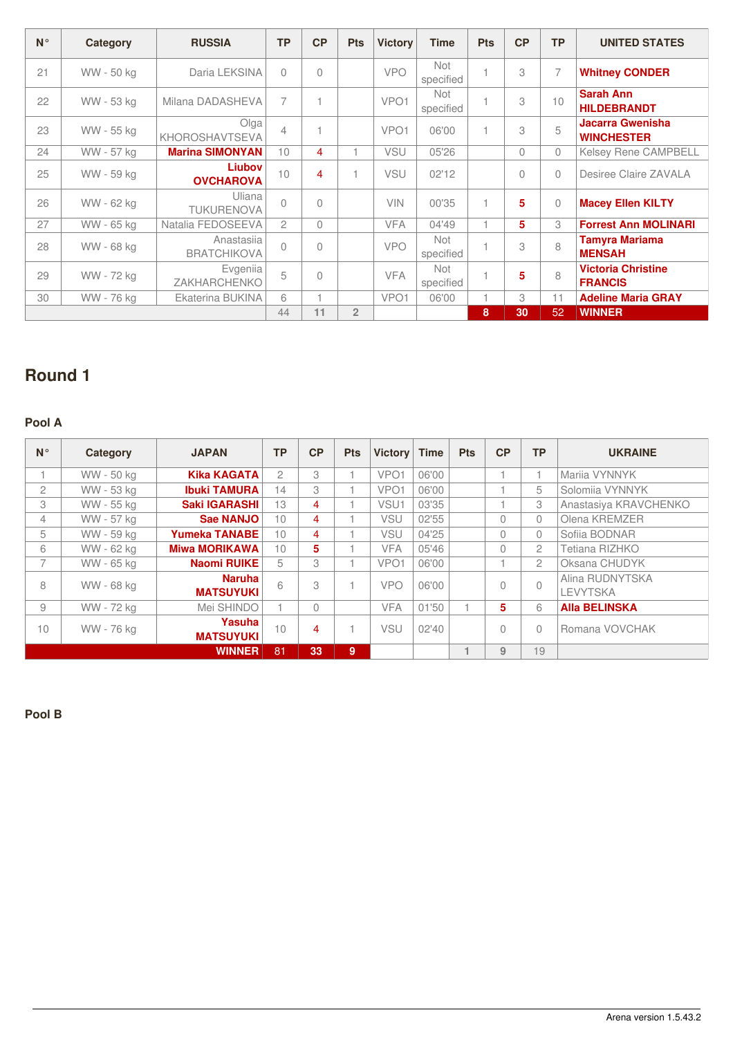| $N^{\circ}$ | Category   | <b>RUSSIA</b>                    | <b>TP</b>      | CP             | <b>Pts</b>     | <b>Victory</b>   | <b>Time</b>             | <b>Pts</b> | CP       | <b>TP</b>      | <b>UNITED STATES</b>                         |
|-------------|------------|----------------------------------|----------------|----------------|----------------|------------------|-------------------------|------------|----------|----------------|----------------------------------------------|
| 21          | WW - 50 kg | Daria LEKSINA                    | $\bigcap$      | $\overline{0}$ |                | <b>VPO</b>       | <b>Not</b><br>specified |            | 3        | $\overline{7}$ | <b>Whitney CONDER</b>                        |
| 22          | WW - 53 kg | Milana DADASHEVA                 | $\overline{7}$ | 1              |                | VPO <sub>1</sub> | <b>Not</b><br>specified |            | 3        | 10             | <b>Sarah Ann</b><br><b>HILDEBRANDT</b>       |
| 23          | WW - 55 kg | Olga<br>KHOROSHAVTSEVA           | $\overline{4}$ | 1              |                | VPO <sub>1</sub> | 06'00                   |            | 3        | 5              | <b>Jacarra Gwenisha</b><br><b>WINCHESTER</b> |
| 24          | WW - 57 kg | <b>Marina SIMONYAN</b>           | 10             | 4              |                | <b>VSU</b>       | 05'26                   |            | $\circ$  | $\Omega$       | <b>Kelsey Rene CAMPBELL</b>                  |
| 25          | WW - 59 kg | Liubov<br><b>OVCHAROVA</b>       | 10             | 4              |                | VSU              | 02'12                   |            | $\Omega$ | $\Omega$       | Desiree Claire ZAVALA                        |
| 26          | WW - 62 kg | Uliana<br><b>TUKURENOVA</b>      | $\bigcap$      | $\bigcap$      |                | <b>VIN</b>       | 00'35                   |            | 5        | $\Omega$       | <b>Macey Ellen KILTY</b>                     |
| 27          | WW - 65 kg | Natalia FEDOSEEVA                | $\overline{c}$ | $\Omega$       |                | <b>VFA</b>       | 04'49                   | 4          | 5        | 3              | <b>Forrest Ann MOLINARI</b>                  |
| 28          | WW - 68 kg | Anastasija<br><b>BRATCHIKOVA</b> | $\bigcap$      | $\Omega$       |                | <b>VPO</b>       | <b>Not</b><br>specified | 4          | 3        | 8              | <b>Tamyra Mariama</b><br><b>MENSAH</b>       |
| 29          | WW - 72 kg | Evgenija<br>ZAKHARCHENKO         | 5              | $\Omega$       |                | <b>VFA</b>       | <b>Not</b><br>specified |            | 5        | 8              | <b>Victoria Christine</b><br><b>FRANCIS</b>  |
| 30          | WW - 76 kg | Ekaterina BUKINA                 | 6              | 1              |                | VPO <sub>1</sub> | 06'00                   | 4          | 3        | 11             | <b>Adeline Maria GRAY</b>                    |
|             |            |                                  | 44             | 11             | $\overline{2}$ |                  |                         | 8          | 30       | 52             | <b>WINNER</b>                                |

# **Round 1**

### **Pool A**

| $N^{\circ}$              | Category   | <b>JAPAN</b>                      | <b>TP</b>      | CP        | <b>Pts</b> | <b>Victory</b>   | <b>Time</b> | <b>Pts</b> | CP       | ТP             | <b>UKRAINE</b>                     |
|--------------------------|------------|-----------------------------------|----------------|-----------|------------|------------------|-------------|------------|----------|----------------|------------------------------------|
|                          | WW - 50 kg | <b>Kika KAGATA</b>                | $\overline{2}$ | 3         |            | VPO <sub>1</sub> | 06'00       |            | 1        |                | Marija VYNNYK                      |
| $\overline{2}$           | WW - 53 kg | <b>Ibuki TAMURA</b>               | 14             | 3         |            | VPO <sub>1</sub> | 06'00       |            | 1        | 5              | Solomiia VYNNYK                    |
| 3                        | WW - 55 ka | <b>Saki IGARASHI</b>              | 13             | 4         |            | VSU1             | 03'35       |            | 1        | 3              | Anastasiya KRAVCHENKO              |
| 4                        | WW - 57 kg | Sae NANJO                         | 10             | 4         |            | <b>VSU</b>       | 02'55       |            | $\Omega$ | $\Omega$       | Olena KREMZER                      |
| 5                        | WW - 59 ka | <b>Yumeka TANABE</b>              | 10             | 4         |            | VSU              | 04'25       |            | $\Omega$ | $\Omega$       | Sofiia BODNAR                      |
| 6                        | WW - 62 kg | <b>Miwa MORIKAWA</b>              | 10             | 5.        |            | <b>VFA</b>       | 05'46       |            | $\Omega$ | $\overline{c}$ | Tetiana RIZHKO                     |
| $\overline{\phantom{a}}$ | WW - 65 kg | <b>Naomi RUIKE</b>                | 5              | 3         |            | VPO <sub>1</sub> | 06'00       |            |          | $\overline{2}$ | Oksana CHUDYK                      |
| 8                        | WW - 68 kg | <b>Naruha</b><br><b>MATSUYUKI</b> | 6              | 3         |            | <b>VPO</b>       | 06'00       |            | $\theta$ | $\overline{0}$ | Alina RUDNYTSKA<br><b>LEVYTSKA</b> |
| 9                        | WW - 72 kg | Mei SHINDO                        |                | $\bigcap$ |            | <b>VFA</b>       | 01'50       |            | 5        | 6              | <b>Alla BELINSKA</b>               |
| 10                       | WW - 76 kg | Yasuha<br><b>MATSUYUKI</b>        | 10             | 4         |            | <b>VSU</b>       | 02'40       |            | $\Omega$ | $\Omega$       | Romana VOVCHAK                     |
|                          |            | <b>WINNER</b>                     | 81             | 33        | 9          |                  |             |            | 9        | 19             |                                    |

**Pool B**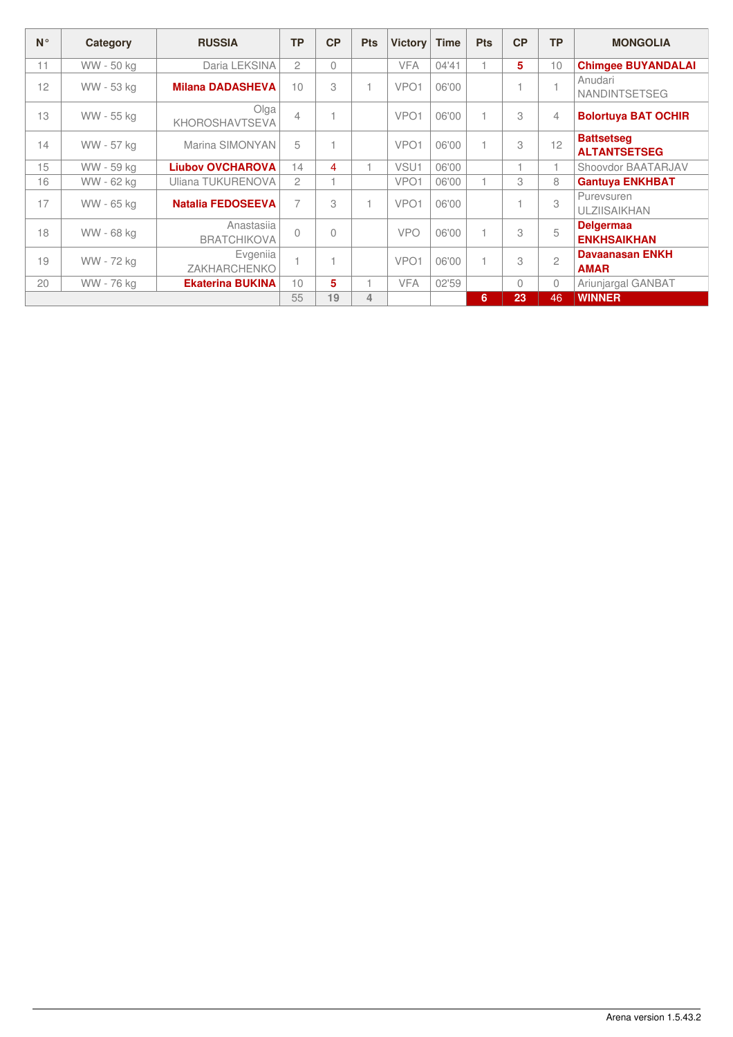| $N^{\circ}$ | Category   | <b>RUSSIA</b>                    | <b>TP</b>      | CP        | <b>Pts</b> | <b>Victory</b>   | <b>Time</b> | <b>Pts</b>               | CP       | <b>TP</b>      | <b>MONGOLIA</b>                          |
|-------------|------------|----------------------------------|----------------|-----------|------------|------------------|-------------|--------------------------|----------|----------------|------------------------------------------|
| 11          | WW - 50 kg | Daria LEKSINA                    | $\overline{c}$ | $\Omega$  |            | <b>VFA</b>       | 04'41       | 1                        | 5        | 10             | <b>Chimgee BUYANDALAI</b>                |
| 12          | WW - 53 kg | <b>Milana DADASHEVA</b>          | 10             | 3         |            | VPO <sub>1</sub> | 06'00       |                          |          |                | Anudari<br><b>NANDINTSETSEG</b>          |
| 13          | WW - 55 kg | Olga<br>KHOROSHAVTSEVA           | $\overline{4}$ |           |            | VPO <sub>1</sub> | 06'00       | 1                        | 3        | 4              | <b>Bolortuya BAT OCHIR</b>               |
| 14          | WW - 57 kg | Marina SIMONYAN                  | 5              |           |            | VPO <sub>1</sub> | 06'00       | 1                        | 3        | 12             | <b>Battsetseg</b><br><b>ALTANTSETSEG</b> |
| 15          | WW - 59 kg | <b>Liubov OVCHAROVA</b>          | 14             | 4         |            | VSU1             | 06'00       |                          |          |                | Shoovdor BAATARJAV                       |
| 16          | WW - 62 kg | Uliana TUKURENOVA                | $\overline{c}$ |           |            | VPO <sub>1</sub> | 06'00       |                          | 3        | 8              | <b>Gantuya ENKHBAT</b>                   |
| 17          | WW - 65 kg | <b>Natalia FEDOSEEVA</b>         | 7              | 3         | и          | VPO <sub>1</sub> | 06'00       |                          |          | 3              | Purevsuren<br><b>ULZIISAIKHAN</b>        |
| 18          | WW - 68 kg | Anastasija<br><b>BRATCHIKOVA</b> | $\bigcap$      | $\bigcap$ |            | <b>VPO</b>       | 06'00       | $\overline{1}$           | 3        | 5              | <b>Delgermaa</b><br><b>ENKHSAIKHAN</b>   |
| 19          | WW - 72 kg | Evgenija<br>ZAKHARCHENKO         |                |           |            | VPO <sub>1</sub> | 06'00       | $\overline{\phantom{a}}$ | 3        | $\overline{c}$ | <b>Davaanasan ENKH</b><br><b>AMAR</b>    |
| 20          | WW - 76 kg | <b>Ekaterina BUKINA</b>          | 10             | 5.        |            | <b>VFA</b>       | 02'59       |                          | $\Omega$ | 0              | Ariunjargal GANBAT                       |
|             |            |                                  | 55             | 19        | 4          |                  |             | 6                        | 23       | 46             | <b>WINNER</b>                            |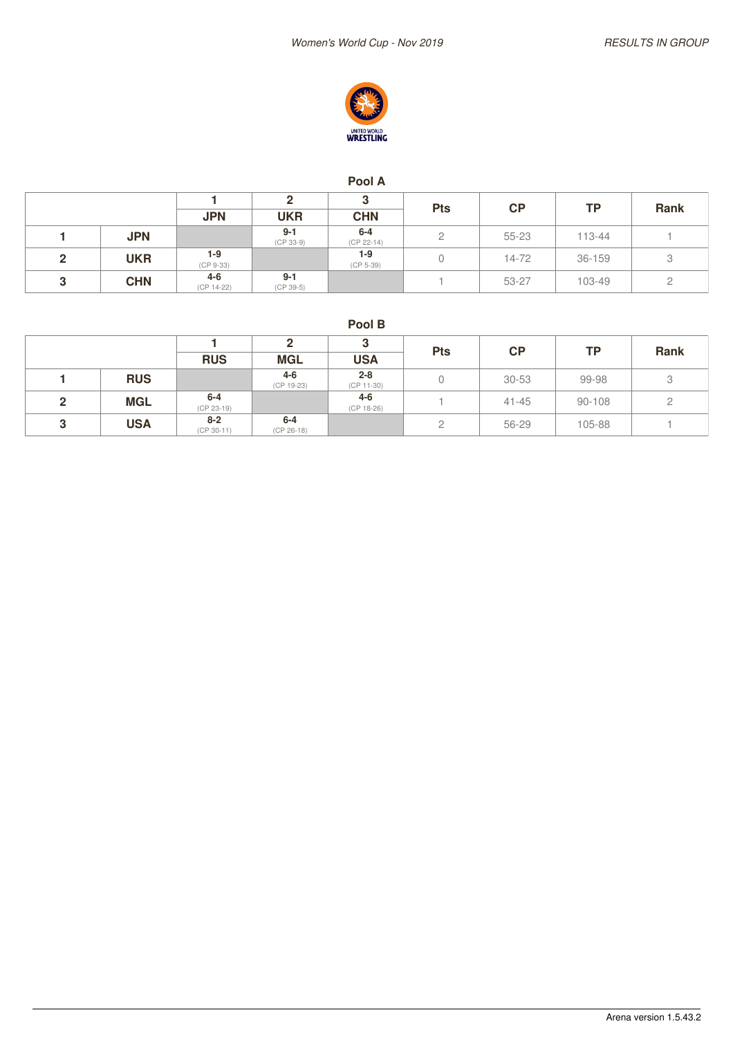

#### **Pool A**

|   |            |                       |                        |                         |            | CP        | ΤP     | Rank |
|---|------------|-----------------------|------------------------|-------------------------|------------|-----------|--------|------|
|   |            | <b>JPN</b>            | <b>UKR</b>             | <b>CHN</b>              | <b>Pts</b> |           |        |      |
|   | <b>JPN</b> |                       | $9 - 1$<br>$(CP 33-9)$ | $6 - 4$<br>$(CP 22-14)$ |            | $55 - 23$ | 113-44 |      |
| 2 | <b>UKR</b> | $1-9$<br>$(CP 9-33)$  |                        | 1-9<br>$(CP 5-39)$      |            | 14-72     | 36-159 | 3    |
| 3 | <b>CHN</b> | $4 - 6$<br>(CP 14-22) | $9 - 1$<br>$(CP 39-5)$ |                         |            | 53-27     | 103-49 |      |

**Pool B**

|   |            |                         |                       |                       |            | CP        | <b>TP</b> | Rank |
|---|------------|-------------------------|-----------------------|-----------------------|------------|-----------|-----------|------|
|   |            | <b>RUS</b>              | <b>MGL</b>            | <b>USA</b>            | <b>Pts</b> |           |           |      |
|   | <b>RUS</b> |                         | 4-6<br>(CP 19-23)     | $2 - 8$<br>(CP 11-30) |            | $30 - 53$ | 99-98     | 3    |
| ◠ | <b>MGL</b> | $6-4$<br>$(CP 23-19)$   |                       | $4 - 6$<br>(CP 18-26) |            | $41 - 45$ | 90-108    | ←    |
| ີ | <b>USA</b> | $8 - 2$<br>$(CP 30-11)$ | $6-4$<br>$(CP 26-18)$ |                       | ∼          | 56-29     | 105-88    |      |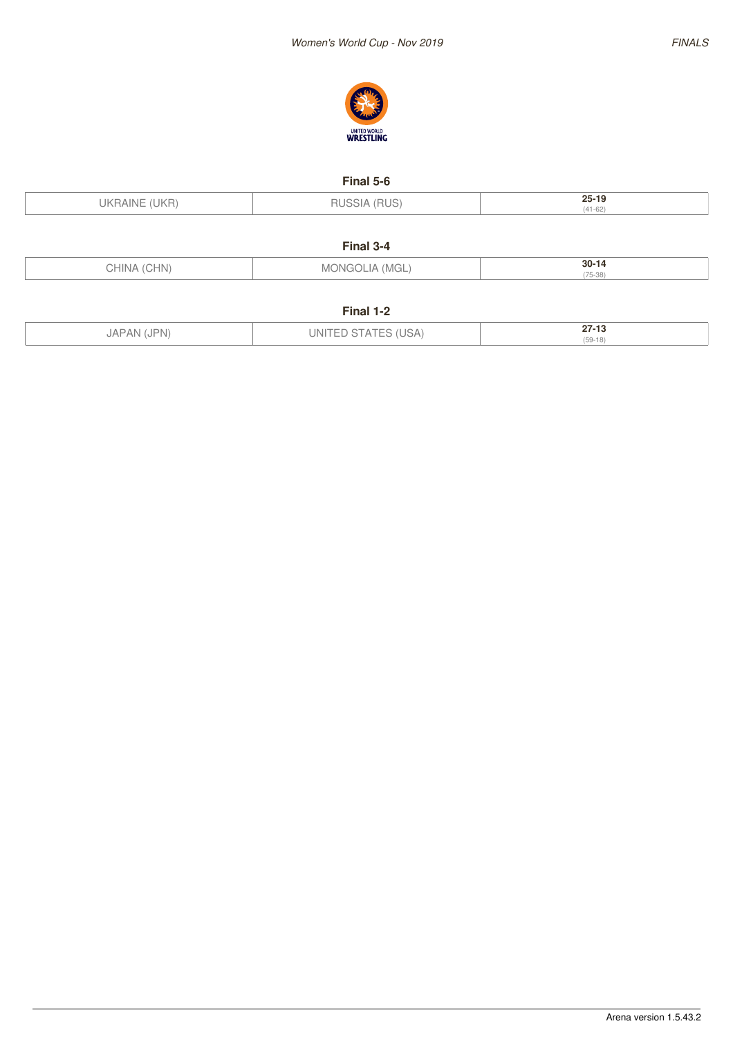



#### **Final 5-6**

| UKRAINE (UKR) | 'RUS)<br>RUS | $25 - 19$<br>$(41 - 62)$ |
|---------------|--------------|--------------------------|
|               |              |                          |

#### **Final 3-4**

| ∪HIN/<br>HN) | NЛ<br>NH<br>' IVI∪L. | $30 - 14$      |
|--------------|----------------------|----------------|
|              |                      | 175.00<br>5-38 |

#### **Final 1-2**

| JAPAN (JPN) | (USA<br>UNL. | 27.42<br>27-13 |
|-------------|--------------|----------------|
|             | --<br>.      | $(59-18)$      |